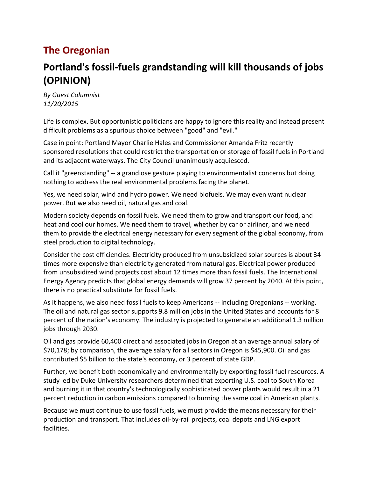# **The Oregonian**

# **Portland's fossil-fuels grandstanding will kill thousands of jobs (OPINION)**

*By Guest Columnist 11/20/2015*

Life is complex. But opportunistic politicians are happy to ignore this reality and instead present difficult problems as a spurious choice between "good" and "evil."

Case in point: Portland Mayor Charlie Hales and Commissioner Amanda Fritz recently sponsored resolutions that could restrict the transportation or storage of fossil fuels in Portland and its adjacent waterways. The City Council unanimously acquiesced.

Call it "greenstanding" -- a grandiose gesture playing to environmentalist concerns but doing nothing to address the real environmental problems facing the planet.

Yes, we need solar, wind and hydro power. We need biofuels. We may even want nuclear power. But we also need oil, natural gas and coal.

Modern society depends on fossil fuels. We need them to grow and transport our food, and heat and cool our homes. We need them to travel, whether by car or airliner, and we need them to provide the electrical energy necessary for every segment of the global economy, from steel production to digital technology.

Consider the cost efficiencies. Electricity produced from unsubsidized solar sources is about 34 times more expensive than electricity generated from natural gas. Electrical power produced from unsubsidized wind projects cost about 12 times more than fossil fuels. The International Energy Agency predicts that global energy demands will grow 37 percent by 2040. At this point, there is no practical substitute for fossil fuels.

As it happens, we also need fossil fuels to keep Americans -- including Oregonians -- working. The oil and natural gas sector supports 9.8 million jobs in the United States and accounts for 8 percent of the nation's economy. The industry is projected to generate an additional 1.3 million jobs through 2030.

Oil and gas provide 60,400 direct and associated jobs in Oregon at an average annual salary of \$70,178; by comparison, the average salary for all sectors in Oregon is \$45,900. Oil and gas contributed \$5 billion to the state's economy, or 3 percent of state GDP.

Further, we benefit both economically and environmentally by exporting fossil fuel resources. A study led by Duke University researchers determined that exporting U.S. coal to South Korea and burning it in that country's technologically sophisticated power plants would result in a 21 percent reduction in carbon emissions compared to burning the same coal in American plants.

Because we must continue to use fossil fuels, we must provide the means necessary for their production and transport. That includes oil-by-rail projects, coal depots and LNG export facilities.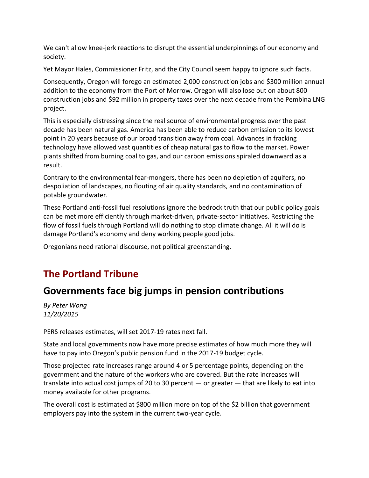We can't allow knee-jerk reactions to disrupt the essential underpinnings of our economy and society.

Yet Mayor Hales, Commissioner Fritz, and the City Council seem happy to ignore such facts.

Consequently, Oregon will forego an estimated 2,000 construction jobs and \$300 million annual addition to the economy from the Port of Morrow. Oregon will also lose out on about 800 construction jobs and \$92 million in property taxes over the next decade from the Pembina LNG project.

This is especially distressing since the real source of environmental progress over the past decade has been natural gas. America has been able to reduce carbon emission to its lowest point in 20 years because of our broad transition away from coal. Advances in fracking technology have allowed vast quantities of cheap natural gas to flow to the market. Power plants shifted from burning coal to gas, and our carbon emissions spiraled downward as a result.

Contrary to the environmental fear-mongers, there has been no depletion of aquifers, no despoliation of landscapes, no flouting of air quality standards, and no contamination of potable groundwater.

These Portland anti-fossil fuel resolutions ignore the bedrock truth that our public policy goals can be met more efficiently through market-driven, private-sector initiatives. Restricting the flow of fossil fuels through Portland will do nothing to stop climate change. All it will do is damage Portland's economy and deny working people good jobs.

Oregonians need rational discourse, not political greenstanding.

## **The Portland Tribune**

## **Governments face big jumps in pension contributions**

*By Peter Wong 11/20/2015*

PERS releases estimates, will set 2017-19 rates next fall.

State and local governments now have more precise estimates of how much more they will have to pay into Oregon's public pension fund in the 2017-19 budget cycle.

Those projected rate increases range around 4 or 5 percentage points, depending on the government and the nature of the workers who are covered. But the rate increases will translate into actual cost jumps of 20 to 30 percent — or greater — that are likely to eat into money available for other programs.

The overall cost is estimated at \$800 million more on top of the \$2 billion that government employers pay into the system in the current two-year cycle.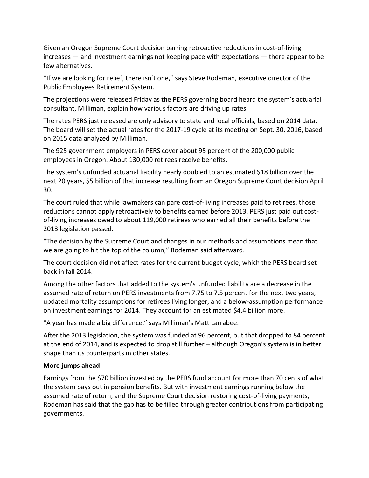Given an Oregon Supreme Court decision barring retroactive reductions in cost-of-living increases — and investment earnings not keeping pace with expectations — there appear to be few alternatives.

"If we are looking for relief, there isn't one," says Steve Rodeman, executive director of the Public Employees Retirement System.

The projections were released Friday as the PERS governing board heard the system's actuarial consultant, Milliman, explain how various factors are driving up rates.

The rates PERS just released are only advisory to state and local officials, based on 2014 data. The board will set the actual rates for the 2017-19 cycle at its meeting on Sept. 30, 2016, based on 2015 data analyzed by Milliman.

The 925 government employers in PERS cover about 95 percent of the 200,000 public employees in Oregon. About 130,000 retirees receive benefits.

The system's unfunded actuarial liability nearly doubled to an estimated \$18 billion over the next 20 years, \$5 billion of that increase resulting from an Oregon Supreme Court decision April 30.

The court ruled that while lawmakers can pare cost-of-living increases paid to retirees, those reductions cannot apply retroactively to benefits earned before 2013. PERS just paid out costof-living increases owed to about 119,000 retirees who earned all their benefits before the 2013 legislation passed.

"The decision by the Supreme Court and changes in our methods and assumptions mean that we are going to hit the top of the column," Rodeman said afterward.

The court decision did not affect rates for the current budget cycle, which the PERS board set back in fall 2014.

Among the other factors that added to the system's unfunded liability are a decrease in the assumed rate of return on PERS investments from 7.75 to 7.5 percent for the next two years, updated mortality assumptions for retirees living longer, and a below-assumption performance on investment earnings for 2014. They account for an estimated \$4.4 billion more.

"A year has made a big difference," says Milliman's Matt Larrabee.

After the 2013 legislation, the system was funded at 96 percent, but that dropped to 84 percent at the end of 2014, and is expected to drop still further – although Oregon's system is in better shape than its counterparts in other states.

### **More jumps ahead**

Earnings from the \$70 billion invested by the PERS fund account for more than 70 cents of what the system pays out in pension benefits. But with investment earnings running below the assumed rate of return, and the Supreme Court decision restoring cost-of-living payments, Rodeman has said that the gap has to be filled through greater contributions from participating governments.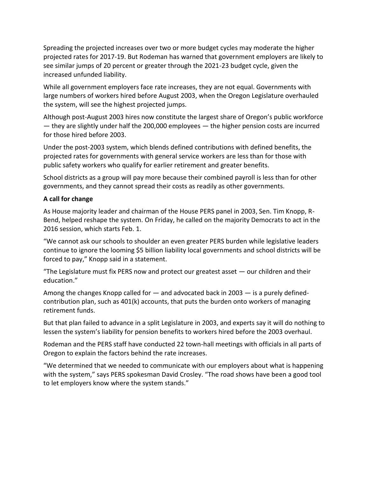Spreading the projected increases over two or more budget cycles may moderate the higher projected rates for 2017-19. But Rodeman has warned that government employers are likely to see similar jumps of 20 percent or greater through the 2021-23 budget cycle, given the increased unfunded liability.

While all government employers face rate increases, they are not equal. Governments with large numbers of workers hired before August 2003, when the Oregon Legislature overhauled the system, will see the highest projected jumps.

Although post-August 2003 hires now constitute the largest share of Oregon's public workforce — they are slightly under half the 200,000 employees — the higher pension costs are incurred for those hired before 2003.

Under the post-2003 system, which blends defined contributions with defined benefits, the projected rates for governments with general service workers are less than for those with public safety workers who qualify for earlier retirement and greater benefits.

School districts as a group will pay more because their combined payroll is less than for other governments, and they cannot spread their costs as readily as other governments.

### **A call for change**

As House majority leader and chairman of the House PERS panel in 2003, Sen. Tim Knopp, R-Bend, helped reshape the system. On Friday, he called on the majority Democrats to act in the 2016 session, which starts Feb. 1.

"We cannot ask our schools to shoulder an even greater PERS burden while legislative leaders continue to ignore the looming \$5 billion liability local governments and school districts will be forced to pay," Knopp said in a statement.

"The Legislature must fix PERS now and protect our greatest asset — our children and their education."

Among the changes Knopp called for — and advocated back in 2003 — is a purely definedcontribution plan, such as 401(k) accounts, that puts the burden onto workers of managing retirement funds.

But that plan failed to advance in a split Legislature in 2003, and experts say it will do nothing to lessen the system's liability for pension benefits to workers hired before the 2003 overhaul.

Rodeman and the PERS staff have conducted 22 town-hall meetings with officials in all parts of Oregon to explain the factors behind the rate increases.

"We determined that we needed to communicate with our employers about what is happening with the system," says PERS spokesman David Crosley. "The road shows have been a good tool to let employers know where the system stands."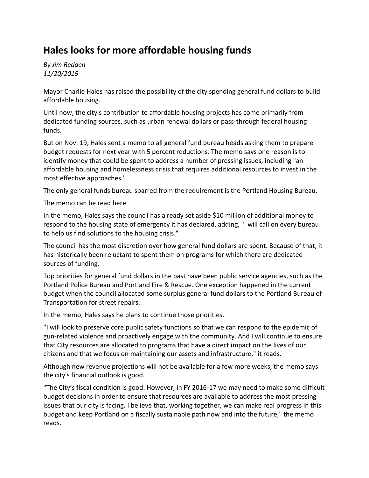### **Hales looks for more affordable housing funds**

*By Jim Redden 11/20/2015*

Mayor Charlie Hales has raised the possibility of the city spending general fund dollars to build affordable housing.

Until now, the city's contribution to affordable housing projects has come primarily from dedicated funding sources, such as urban renewal dollars or pass-through federal housing funds.

But on Nov. 19, Hales sent a memo to all general fund bureau heads asking them to prepare budget requests for next year with 5 percent reductions. The memo says one reason is to identify money that could be spent to address a number of pressing issues, including "an affordable housing and homelessness crisis that requires additional resources to invest in the most effective approaches."

The only general funds bureau sparred from the requirement is the Portland Housing Bureau.

The memo can be read [here.](http://portlandtribune.com/documents/artdocs/00003530871233.pdf)

In the memo, Hales says the council has already set aside \$10 million of additional money to respond to the housing state of emergency it has declared, adding, "I will call on every bureau to help us find solutions to the housing crisis."

The council has the most discretion over how general fund dollars are spent. Because of that, it has historically been reluctant to spent them on programs for which there are dedicated sources of funding.

Top priorities for general fund dollars in the past have been public service agencies, such as the Portland Police Bureau and Portland Fire & Rescue. One exception happened in the current budget when the council allocated some surplus general fund dollars to the Portland Bureau of Transportation for street repairs.

In the memo, Hales says he plans to continue those priorities.

"I will look to preserve core public safety functions so that we can respond to the epidemic of gun-related violence and proactively engage with the community. And I will continue to ensure that City resources are allocated to programs that have a direct impact on the lives of our citizens and that we focus on maintaining our assets and infrastructure," it reads.

Although new revenue projections will not be available for a few more weeks, the memo says the city's financial outlook is good.

"The City's fiscal condition is good. However, in FY 2016-17 we may need to make some difficult budget decisions in order to ensure that resources are available to address the most pressing issues that our city is facing. I believe that, working together, we can make real progress in this budget and keep Portland on a fiscally sustainable path now and into the future," the memo reads.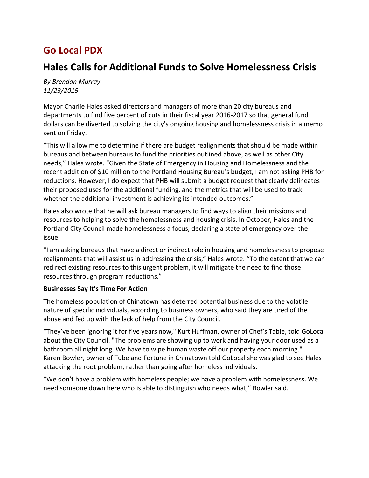## **Go Local PDX**

### **Hales Calls for Additional Funds to Solve Homelessness Crisis**

*By Brendan Murray 11/23/2015*

Mayor Charlie Hales asked directors and managers of more than 20 city bureaus and departments to find five percent of cuts in their fiscal year 2016-2017 so that general fund dollars can be diverted to solving the city's ongoing housing and homelessness crisis in a memo sent on Friday.

"This will allow me to determine if there are budget realignments that should be made within bureaus and between bureaus to fund the priorities outlined above, as well as other City needs," Hales wrote. "Given the State of Emergency in Housing and Homelessness and the recent addition of \$10 million to the Portland Housing Bureau's budget, I am not asking PHB for reductions. However, I do expect that PHB will submit a budget request that clearly delineates their proposed uses for the additional funding, and the metrics that will be used to track whether the additional investment is achieving its intended outcomes."

Hales also wrote that he will ask bureau managers to find ways to align their missions and resources to helping to solve the homelessness and housing crisis. In October, Hales and the Portland City Council made homelessness a focus, declaring a state of emergency over the issue.

"I am asking bureaus that have a direct or indirect role in housing and homelessness to propose realignments that will assist us in addressing the crisis," Hales wrote. "To the extent that we can redirect existing resources to this urgent problem, it will mitigate the need to find those resources through program reductions."

### **Businesses Say It's Time For Action**

The homeless population of Chinatown has deterred potential business due to the volatile nature of specific individuals, according to business owners, who said they are tired of the abuse and fed up with the lack of help from the City Council.

"They've been ignoring it for five years now," Kurt Huffman, owner of Chef's Table, told GoLocal about the City Council. "The problems are showing up to work and having your door used as a bathroom all night long. We have to wipe human waste off our property each morning." Karen Bowler, owner of Tube and Fortune in Chinatown told GoLocal she was glad to see Hales attacking the root problem, rather than going after homeless individuals.

"We don't have a problem with homeless people; we have a problem with homelessness. We need someone down here who is able to distinguish who needs what," Bowler said.